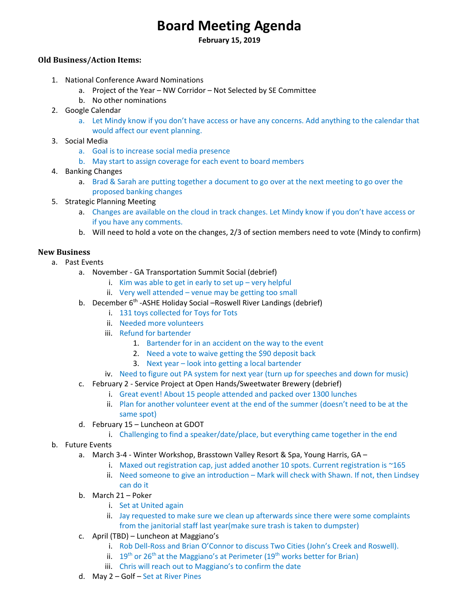# **Board Meeting Agenda**

**February 15, 2019** 

# **Old Business/Action Items:**

- 1. National Conference Award Nominations
	- a. Project of the Year NW Corridor Not Selected by SE Committee
	- b. No other nominations
- 2. Google Calendar
	- a. Let Mindy know if you don't have access or have any concerns. Add anything to the calendar that would affect our event planning.
- 3. Social Media
	- a. Goal is to increase social media presence
	- b. May start to assign coverage for each event to board members
- 4. Banking Changes
	- a. Brad & Sarah are putting together a document to go over at the next meeting to go over the proposed banking changes
- 5. Strategic Planning Meeting
	- a. Changes are available on the cloud in track changes. Let Mindy know if you don't have access or if you have any comments.
	- b. Will need to hold a vote on the changes, 2/3 of section members need to vote (Mindy to confirm)

# **New Business**

- a. Past Events
	- a. November ‐ GA Transportation Summit Social (debrief)
		- i. Kim was able to get in early to set up  $-$  very helpful
		- ii. Very well attended venue may be getting too small
	- b. December 6<sup>th</sup> ASHE Holiday Social Roswell River Landings (debrief)
		- i. 131 toys collected for Toys for Tots
		- ii. Needed more volunteers
		- iii. Refund for bartender
			- 1. Bartender for in an accident on the way to the event
			- 2. Need a vote to waive getting the \$90 deposit back
			- 3. Next year look into getting a local bartender
		- iv. Need to figure out PA system for next year (turn up for speeches and down for music)
	- c. February 2 ‐ Service Project at Open Hands/Sweetwater Brewery (debrief)
		- i. Great event! About 15 people attended and packed over 1300 lunches
		- ii. Plan for another volunteer event at the end of the summer (doesn't need to be at the same spot)
	- d. February 15 Luncheon at GDOT
		- i. Challenging to find a speaker/date/place, but everything came together in the end
- b. Future Events
	- a. March 3‐4 ‐ Winter Workshop, Brasstown Valley Resort & Spa, Young Harris, GA
		- i. Maxed out registration cap, just added another 10 spots. Current registration is ~165
		- ii. Need someone to give an introduction Mark will check with Shawn. If not, then Lindsey can do it
	- b. March 21 Poker
		- i. Set at United again
		- ii. Jay requested to make sure we clean up afterwards since there were some complaints from the janitorial staff last year(make sure trash is taken to dumpster)
	- c. April (TBD) Luncheon at Maggiano's
		- i. Rob Dell‐Ross and Brian O'Connor to discuss Two Cities (John's Creek and Roswell).
		- ii.  $19<sup>th</sup>$  or 26<sup>th</sup> at the Maggiano's at Perimeter (19<sup>th</sup> works better for Brian)
		- iii. Chris will reach out to Maggiano's to confirm the date
	- d. May 2 Golf Set at River Pines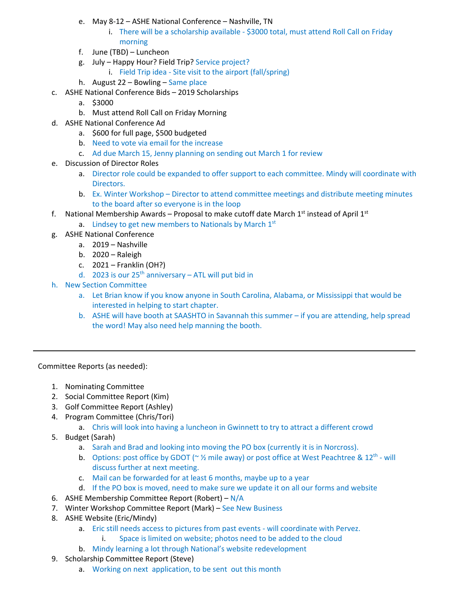- e. May 8‐12 ASHE National Conference Nashville, TN
	- i. There will be a scholarship available ‐ \$3000 total, must attend Roll Call on Friday morning
- f. June (TBD) Luncheon
- g. July Happy Hour? Field Trip? Service project?
	- i. Field Trip idea ‐ Site visit to the airport (fall/spring)
- h. August 22 Bowling Same place
- c. ASHE National Conference Bids 2019 Scholarships
	- a. \$3000
	- b. Must attend Roll Call on Friday Morning
- d. ASHE National Conference Ad
	- a. \$600 for full page, \$500 budgeted
	- b. Need to vote via email for the increase
	- c. Ad due March 15, Jenny planning on sending out March 1 for review
- e. Discussion of Director Roles
	- a. Director role could be expanded to offer support to each committee. Mindy will coordinate with Directors.
	- b. Ex. Winter Workshop Director to attend committee meetings and distribute meeting minutes to the board after so everyone is in the loop
- f. National Membership Awards Proposal to make cutoff date March  $1<sup>st</sup>$  instead of April  $1<sup>st</sup>$ 
	- a. Lindsey to get new members to Nationals by March  $1<sup>st</sup>$
- g. ASHE National Conference
	- a. 2019 Nashville
	- b. 2020 Raleigh
	- c. 2021 Franklin (OH?)
	- d. 2023 is our  $25<sup>th</sup>$  anniversary ATL will put bid in
- h. New Section Committee
	- a. Let Brian know if you know anyone in South Carolina, Alabama, or Mississippi that would be interested in helping to start chapter.
	- b. ASHE will have booth at SAASHTO in Savannah this summer if you are attending, help spread the word! May also need help manning the booth.

Committee Reports (as needed):

- 1. Nominating Committee
- 2. Social Committee Report (Kim)
- 3. Golf Committee Report (Ashley)
- 4. Program Committee (Chris/Tori)
	- a. Chris will look into having a luncheon in Gwinnett to try to attract a different crowd
- 5. Budget (Sarah)
	- a. Sarah and Brad and looking into moving the PO box (currently it is in Norcross).
	- **b.** Options: post office by GDOT ( $\sim$  1/2 mile away) or post office at West Peachtree & 12<sup>th</sup> will discuss further at next meeting.
	- c. Mail can be forwarded for at least 6 months, maybe up to a year
	- d. If the PO box is moved, need to make sure we update it on all our forms and website
- 6. ASHE Membership Committee Report (Robert)  $N/A$
- 7. Winter Workshop Committee Report (Mark) See New Business
- 8. ASHE Website (Eric/Mindy)
	- a. Eric still needs access to pictures from past events ‐ will coordinate with Pervez.
		- i. Space is limited on website; photos need to be added to the cloud
	- b. Mindy learning a lot through National's website redevelopment
- 9. Scholarship Committee Report (Steve)
	- a. Working on next application, to be sent out this month